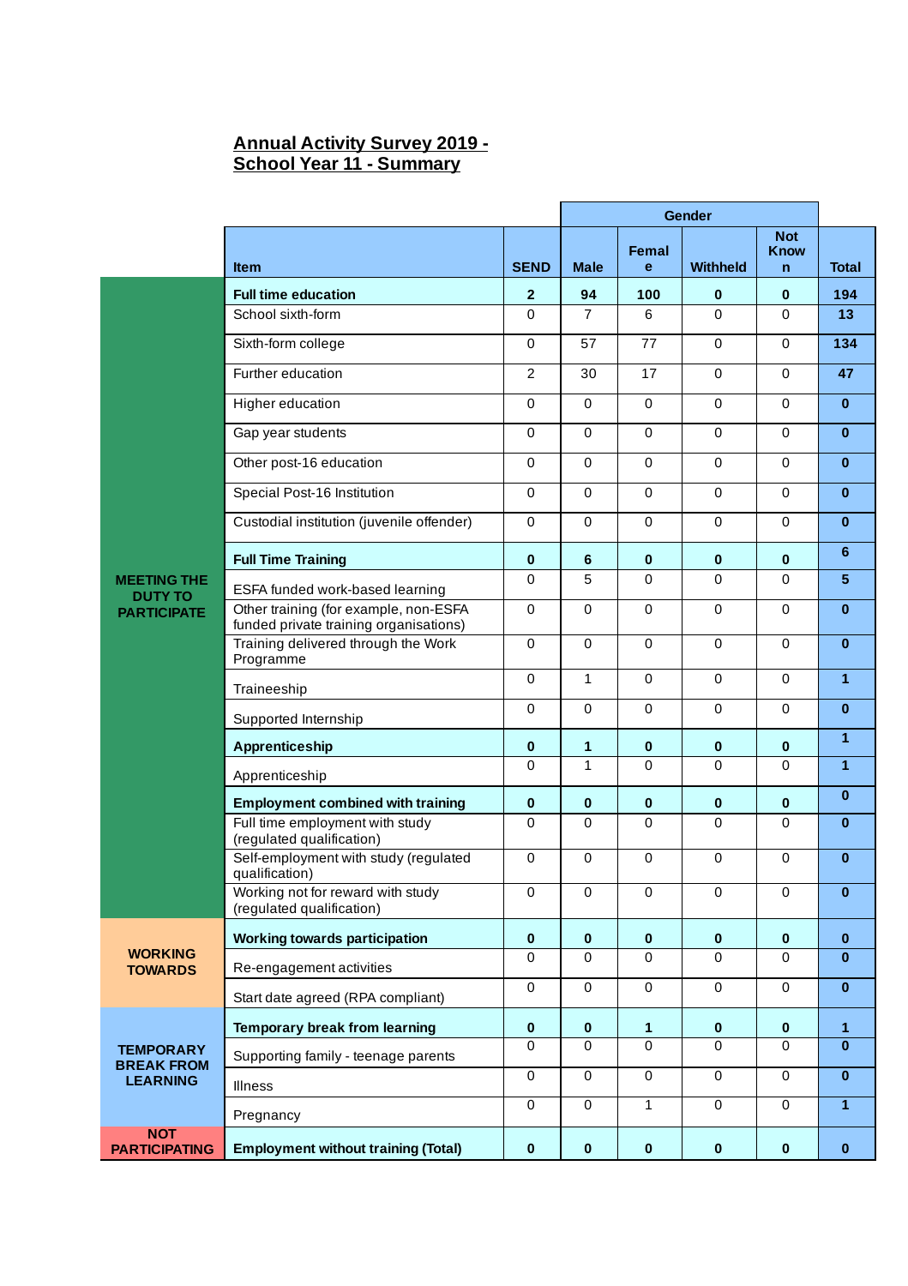## **Annual Activity Survey 2019 - School Year 11 - Summary**

|                                       |                                                                                 |                | Gender          |              |             |                                           |              |
|---------------------------------------|---------------------------------------------------------------------------------|----------------|-----------------|--------------|-------------|-------------------------------------------|--------------|
|                                       | <b>Item</b>                                                                     | <b>SEND</b>    | <b>Male</b>     | Femal<br>e   | Withheld    | <b>Not</b><br><b>Know</b><br>$\mathsf{n}$ | <b>Total</b> |
|                                       | <b>Full time education</b>                                                      | $\overline{2}$ | 94              | 100          | $\mathbf 0$ | $\mathbf{0}$                              | 194          |
|                                       | School sixth-form                                                               | $\Omega$       | $\overline{7}$  | 6            | $\Omega$    | 0                                         | 13           |
|                                       | Sixth-form college                                                              | 0              | 57              | 77           | $\mathbf 0$ | $\Omega$                                  | 134          |
|                                       | Further education                                                               | $\overline{2}$ | 30              | 17           | $\mathbf 0$ | $\mathbf 0$                               | 47           |
|                                       | Higher education                                                                | $\Omega$       | $\mathbf{0}$    | $\Omega$     | $\Omega$    | $\Omega$                                  | $\bf{0}$     |
|                                       | Gap year students                                                               | $\Omega$       | $\mathbf{0}$    | $\Omega$     | $\Omega$    | 0                                         | $\bf{0}$     |
|                                       | Other post-16 education                                                         | $\mathbf 0$    | $\Omega$        | $\mathbf 0$  | $\mathbf 0$ | $\Omega$                                  | $\bf{0}$     |
|                                       | Special Post-16 Institution                                                     | 0              | $\mathbf 0$     | $\mathbf{0}$ | $\Omega$    | $\mathbf 0$                               | $\mathbf{0}$ |
|                                       | Custodial institution (juvenile offender)                                       | 0              | $\Omega$        | $\Omega$     | $\Omega$    | 0                                         | $\bf{0}$     |
|                                       | <b>Full Time Training</b>                                                       | $\bf{0}$       | $6\phantom{1}6$ | $\bf{0}$     | $\bf{0}$    | $\mathbf{0}$                              | 6            |
| <b>MEETING THE</b>                    | ESFA funded work-based learning                                                 | $\mathbf 0$    | 5               | $\Omega$     | $\Omega$    | 0                                         | 5            |
| <b>DUTY TO</b><br><b>PARTICIPATE</b>  | Other training (for example, non-ESFA<br>funded private training organisations) | $\mathbf 0$    | 0               | $\mathbf 0$  | $\mathbf 0$ | 0                                         | $\bf{0}$     |
|                                       | Training delivered through the Work<br>Programme                                | 0              | $\mathbf 0$     | $\mathbf 0$  | $\mathbf 0$ | $\mathbf 0$                               | $\bf{0}$     |
|                                       | Traineeship                                                                     | $\mathbf 0$    | $\mathbf{1}$    | $\mathbf 0$  | $\mathbf 0$ | $\mathbf 0$                               | $\mathbf{1}$ |
|                                       | Supported Internship                                                            | $\mathbf 0$    | $\mathbf 0$     | $\mathbf 0$  | $\mathbf 0$ | 0                                         | $\bf{0}$     |
|                                       | Apprenticeship                                                                  | 0              | 1               | 0            | $\bf{0}$    | 0                                         | $\mathbf{1}$ |
|                                       | Apprenticeship                                                                  | $\mathbf 0$    | $\mathbf{1}$    | 0            | $\mathbf 0$ | $\mathbf 0$                               | $\mathbf{1}$ |
|                                       | <b>Employment combined with training</b>                                        | $\bf{0}$       | $\bf{0}$        | $\bf{0}$     | $\bf{0}$    | 0                                         | $\bf{0}$     |
|                                       | Full time employment with study<br>(regulated qualification)                    | 0              | $\Omega$        | $\Omega$     | $\Omega$    | 0                                         | $\mathbf{0}$ |
|                                       | Self-employment with study (regulated<br>qualification)                         | 0              | $\mathbf 0$     | $\mathbf 0$  | $\mathbf 0$ | $\mathbf 0$                               | $\mathbf{0}$ |
|                                       | Working not for reward with study<br>(regulated qualification)                  | 0              | 0               | 0            | 0           | 0                                         | 0            |
| <b>WORKING</b><br><b>TOWARDS</b>      | <b>Working towards participation</b>                                            | $\bf{0}$       | $\bf{0}$        | $\bf{0}$     | $\pmb{0}$   | $\bf{0}$                                  | $\bf{0}$     |
|                                       | Re-engagement activities                                                        | $\mathbf 0$    | $\mathbf 0$     | 0            | $\mathbf 0$ | $\mathbf 0$                               | $\bf{0}$     |
|                                       | Start date agreed (RPA compliant)                                               | 0              | $\mathbf 0$     | $\mathbf 0$  | $\mathbf 0$ | $\mathbf 0$                               | $\bf{0}$     |
| <b>TEMPORARY</b><br><b>BREAK FROM</b> | <b>Temporary break from learning</b>                                            | $\pmb{0}$      | $\bf{0}$        | $\mathbf{1}$ | $\pmb{0}$   | $\bf{0}$                                  | $\mathbf{1}$ |
|                                       | Supporting family - teenage parents                                             | $\mathbf 0$    | $\Omega$        | $\Omega$     | $\Omega$    | 0                                         | $\bf{0}$     |
| <b>LEARNING</b>                       | <b>Illness</b>                                                                  | $\mathbf 0$    | $\mathbf 0$     | $\mathbf 0$  | $\mathbf 0$ | $\mathbf 0$                               | $\mathbf{0}$ |
|                                       | Pregnancy                                                                       | 0              | $\mathbf 0$     | $\mathbf{1}$ | $\Omega$    | 0                                         | $\mathbf{1}$ |
| <b>NOT</b><br><b>PARTICIPATING</b>    | <b>Employment without training (Total)</b>                                      | 0              | $\bf{0}$        | $\bf{0}$     | $\pmb{0}$   | $\bf{0}$                                  | $\pmb{0}$    |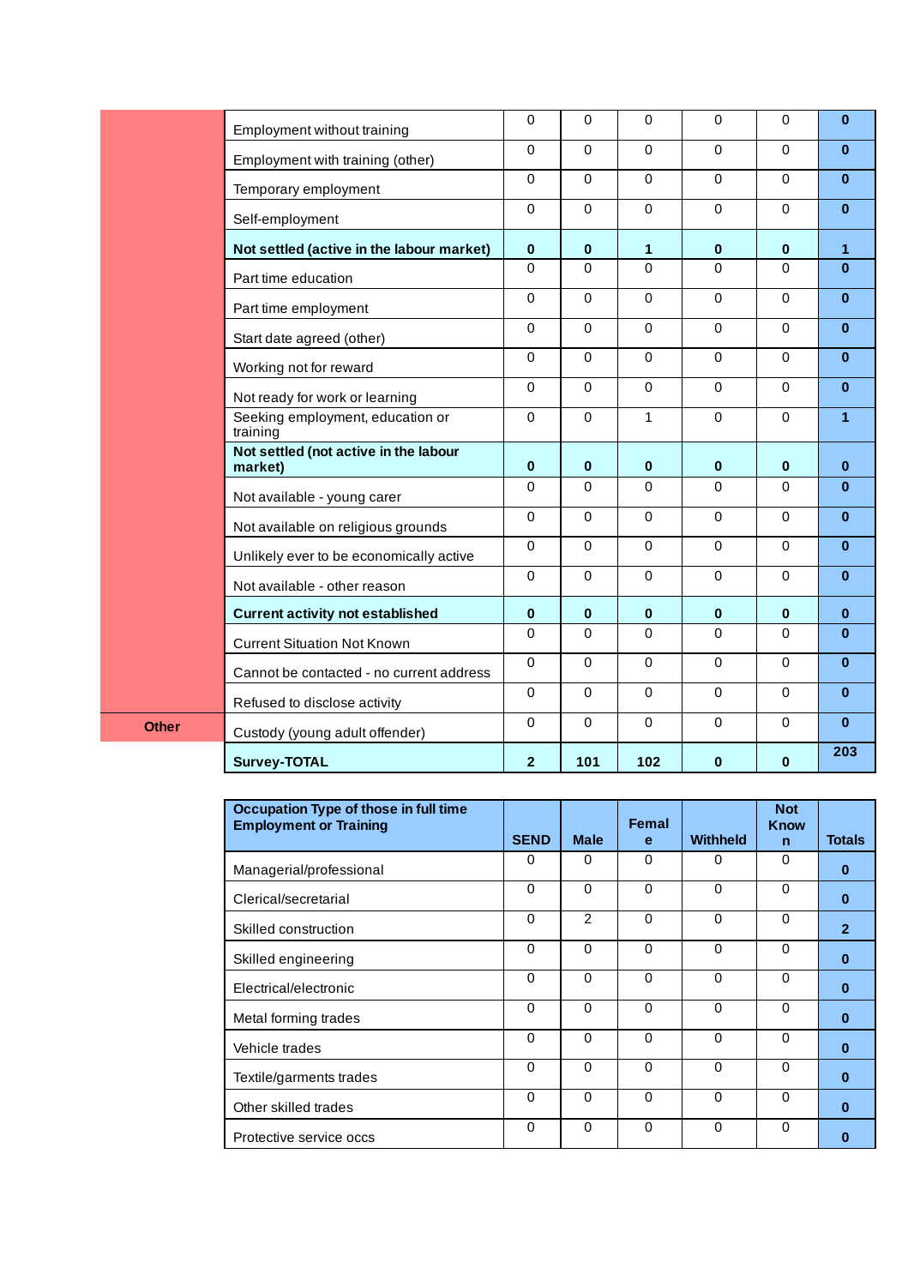| Occupation Type of those in full time<br><b>Employment or Training</b> |             |                | Femal        |                 | <b>Not</b><br>Know |                |
|------------------------------------------------------------------------|-------------|----------------|--------------|-----------------|--------------------|----------------|
|                                                                        | <b>SEND</b> | <b>Male</b>    | e            | <b>Withheld</b> | $\mathbf n$        | <b>Totals</b>  |
| Managerial/professional                                                | 0           | $\Omega$       | $\Omega$     | $\Omega$        | 0                  | $\bf{0}$       |
| Clerical/secretarial                                                   | 0           | $\Omega$       | $\Omega$     | $\Omega$        | 0                  | $\bf{0}$       |
| Skilled construction                                                   | $\Omega$    | $\overline{2}$ | $\Omega$     | $\Omega$        | 0                  | $\overline{2}$ |
| Skilled engineering                                                    | $\Omega$    | $\Omega$       | $\Omega$     | $\mathbf 0$     | 0                  | $\bf{0}$       |
| Electrical/electronic                                                  | $\Omega$    | $\Omega$       | $\Omega$     | $\Omega$        | 0                  | $\bf{0}$       |
| Metal forming trades                                                   | $\Omega$    | $\Omega$       | $\mathbf{0}$ | $\Omega$        | 0                  | $\bf{0}$       |
| Vehicle trades                                                         | $\Omega$    | $\Omega$       | 0            | $\Omega$        | 0                  | $\bf{0}$       |
| Textile/garments trades                                                | $\Omega$    | $\Omega$       | 0            | $\Omega$        | 0                  | $\bf{0}$       |
| Other skilled trades                                                   | $\Omega$    | $\Omega$       | $\Omega$     | $\Omega$        | 0                  | $\bf{0}$       |
| Protective service occs                                                | $\Omega$    | $\Omega$       | $\Omega$     | $\Omega$        | 0                  | o              |